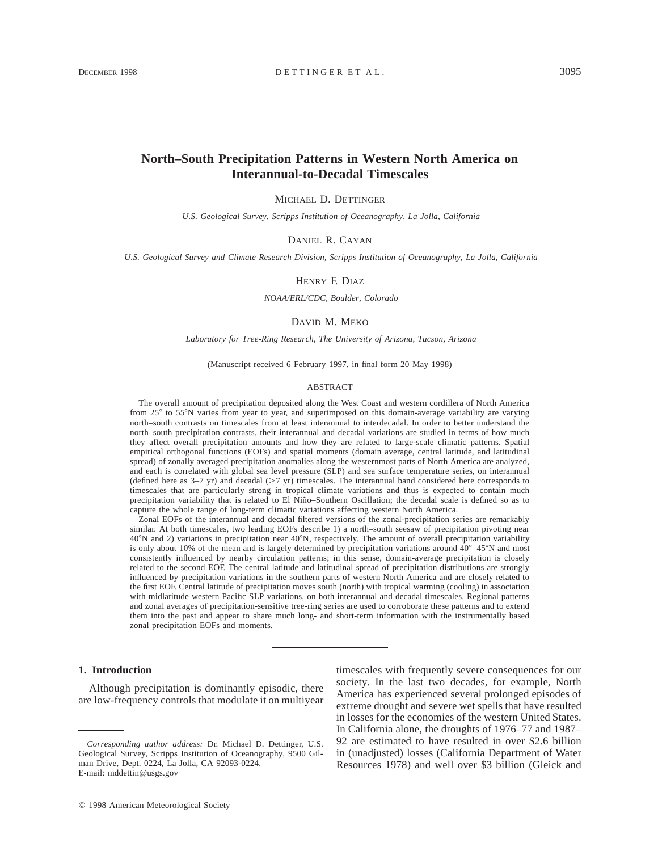# **North–South Precipitation Patterns in Western North America on Interannual-to-Decadal Timescales**

MICHAEL D. DETTINGER

*U.S. Geological Survey, Scripps Institution of Oceanography, La Jolla, California*

DANIEL R. CAYAN

*U.S. Geological Survey and Climate Research Division, Scripps Institution of Oceanography, La Jolla, California*

#### HENRY F. DIAZ

*NOAA/ERL/CDC, Boulder, Colorado*

#### DAVID M. MEKO

*Laboratory for Tree-Ring Research, The University of Arizona, Tucson, Arizona*

(Manuscript received 6 February 1997, in final form 20 May 1998)

#### ABSTRACT

The overall amount of precipitation deposited along the West Coast and western cordillera of North America from 25° to 55°N varies from year to year, and superimposed on this domain-average variability are varying north–south contrasts on timescales from at least interannual to interdecadal. In order to better understand the north–south precipitation contrasts, their interannual and decadal variations are studied in terms of how much they affect overall precipitation amounts and how they are related to large-scale climatic patterns. Spatial empirical orthogonal functions (EOFs) and spatial moments (domain average, central latitude, and latitudinal spread) of zonally averaged precipitation anomalies along the westernmost parts of North America are analyzed, and each is correlated with global sea level pressure (SLP) and sea surface temperature series, on interannual (defined here as  $3-7$  yr) and decadal ( $>7$  yr) timescales. The interannual band considered here corresponds to timescales that are particularly strong in tropical climate variations and thus is expected to contain much precipitation variability that is related to El Niño–Southern Oscillation; the decadal scale is defined so as to capture the whole range of long-term climatic variations affecting western North America.

Zonal EOFs of the interannual and decadal filtered versions of the zonal-precipitation series are remarkably similar. At both timescales, two leading EOFs describe 1) a north–south seesaw of precipitation pivoting near 40°N and 2) variations in precipitation near 40°N, respectively. The amount of overall precipitation variability is only about 10% of the mean and is largely determined by precipitation variations around  $40^{\circ} - 45^{\circ}N$  and most consistently influenced by nearby circulation patterns; in this sense, domain-average precipitation is closely related to the second EOF. The central latitude and latitudinal spread of precipitation distributions are strongly influenced by precipitation variations in the southern parts of western North America and are closely related to the first EOF. Central latitude of precipitation moves south (north) with tropical warming (cooling) in association with midlatitude western Pacific SLP variations, on both interannual and decadal timescales. Regional patterns and zonal averages of precipitation-sensitive tree-ring series are used to corroborate these patterns and to extend them into the past and appear to share much long- and short-term information with the instrumentally based zonal precipitation EOFs and moments.

## **1. Introduction**

Although precipitation is dominantly episodic, there are low-frequency controls that modulate it on multiyear timescales with frequently severe consequences for our society. In the last two decades, for example, North America has experienced several prolonged episodes of extreme drought and severe wet spells that have resulted in losses for the economies of the western United States. In California alone, the droughts of 1976–77 and 1987– 92 are estimated to have resulted in over \$2.6 billion in (unadjusted) losses (California Department of Water Resources 1978) and well over \$3 billion (Gleick and

*Corresponding author address:* Dr. Michael D. Dettinger, U.S. Geological Survey, Scripps Institution of Oceanography, 9500 Gilman Drive, Dept. 0224, La Jolla, CA 92093-0224. E-mail: mddettin@usgs.gov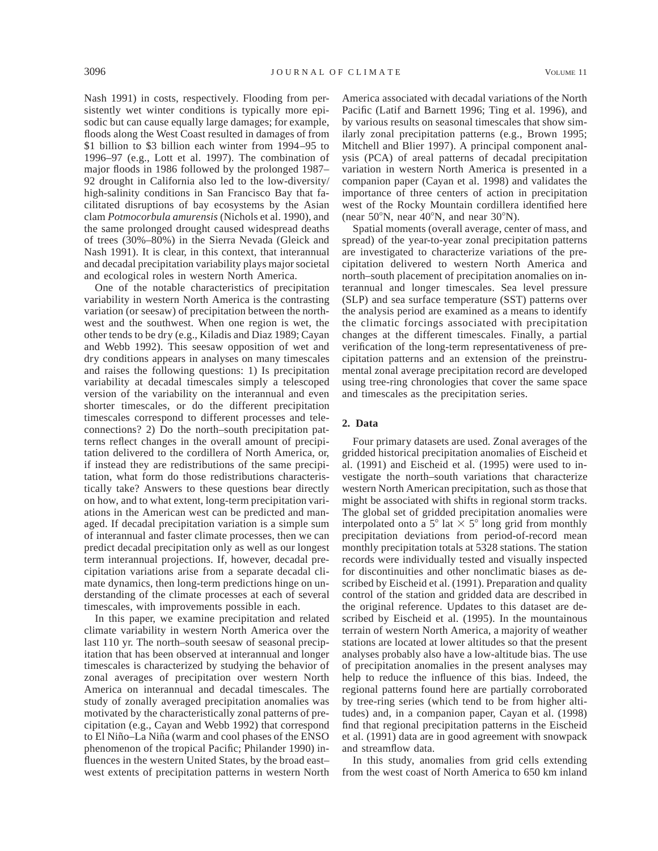Nash 1991) in costs, respectively. Flooding from persistently wet winter conditions is typically more episodic but can cause equally large damages; for example, floods along the West Coast resulted in damages of from \$1 billion to \$3 billion each winter from 1994–95 to 1996–97 (e.g., Lott et al. 1997). The combination of major floods in 1986 followed by the prolonged 1987– 92 drought in California also led to the low-diversity/ high-salinity conditions in San Francisco Bay that facilitated disruptions of bay ecosystems by the Asian clam *Potmocorbula amurensis* (Nichols et al. 1990), and the same prolonged drought caused widespread deaths of trees (30%–80%) in the Sierra Nevada (Gleick and Nash 1991). It is clear, in this context, that interannual and decadal precipitation variability plays major societal and ecological roles in western North America.

One of the notable characteristics of precipitation variability in western North America is the contrasting variation (or seesaw) of precipitation between the northwest and the southwest. When one region is wet, the other tends to be dry (e.g., Kiladis and Diaz 1989; Cayan and Webb 1992). This seesaw opposition of wet and dry conditions appears in analyses on many timescales and raises the following questions: 1) Is precipitation variability at decadal timescales simply a telescoped version of the variability on the interannual and even shorter timescales, or do the different precipitation timescales correspond to different processes and teleconnections? 2) Do the north–south precipitation patterns reflect changes in the overall amount of precipitation delivered to the cordillera of North America, or, if instead they are redistributions of the same precipitation, what form do those redistributions characteristically take? Answers to these questions bear directly on how, and to what extent, long-term precipitation variations in the American west can be predicted and managed. If decadal precipitation variation is a simple sum of interannual and faster climate processes, then we can predict decadal precipitation only as well as our longest term interannual projections. If, however, decadal precipitation variations arise from a separate decadal climate dynamics, then long-term predictions hinge on understanding of the climate processes at each of several timescales, with improvements possible in each.

In this paper, we examine precipitation and related climate variability in western North America over the last 110 yr. The north–south seesaw of seasonal precipitation that has been observed at interannual and longer timescales is characterized by studying the behavior of zonal averages of precipitation over western North America on interannual and decadal timescales. The study of zonally averaged precipitation anomalies was motivated by the characteristically zonal patterns of precipitation (e.g., Cayan and Webb 1992) that correspond to El Niño-La Niña (warm and cool phases of the ENSO phenomenon of the tropical Pacific; Philander 1990) influences in the western United States, by the broad east– west extents of precipitation patterns in western North

America associated with decadal variations of the North Pacific (Latif and Barnett 1996; Ting et al. 1996), and by various results on seasonal timescales that show similarly zonal precipitation patterns (e.g., Brown 1995; Mitchell and Blier 1997). A principal component analysis (PCA) of areal patterns of decadal precipitation variation in western North America is presented in a companion paper (Cayan et al. 1998) and validates the importance of three centers of action in precipitation west of the Rocky Mountain cordillera identified here (near  $50^{\circ}$ N, near  $40^{\circ}$ N, and near  $30^{\circ}$ N).

Spatial moments (overall average, center of mass, and spread) of the year-to-year zonal precipitation patterns are investigated to characterize variations of the precipitation delivered to western North America and north–south placement of precipitation anomalies on interannual and longer timescales. Sea level pressure (SLP) and sea surface temperature (SST) patterns over the analysis period are examined as a means to identify the climatic forcings associated with precipitation changes at the different timescales. Finally, a partial verification of the long-term representativeness of precipitation patterns and an extension of the preinstrumental zonal average precipitation record are developed using tree-ring chronologies that cover the same space and timescales as the precipitation series.

# **2. Data**

Four primary datasets are used. Zonal averages of the gridded historical precipitation anomalies of Eischeid et al. (1991) and Eischeid et al. (1995) were used to investigate the north–south variations that characterize western North American precipitation, such as those that might be associated with shifts in regional storm tracks. The global set of gridded precipitation anomalies were interpolated onto a  $5^{\circ}$  lat  $\times$   $5^{\circ}$  long grid from monthly precipitation deviations from period-of-record mean monthly precipitation totals at 5328 stations. The station records were individually tested and visually inspected for discontinuities and other nonclimatic biases as described by Eischeid et al. (1991). Preparation and quality control of the station and gridded data are described in the original reference. Updates to this dataset are described by Eischeid et al. (1995). In the mountainous terrain of western North America, a majority of weather stations are located at lower altitudes so that the present analyses probably also have a low-altitude bias. The use of precipitation anomalies in the present analyses may help to reduce the influence of this bias. Indeed, the regional patterns found here are partially corroborated by tree-ring series (which tend to be from higher altitudes) and, in a companion paper, Cayan et al. (1998) find that regional precipitation patterns in the Eischeid et al. (1991) data are in good agreement with snowpack and streamflow data.

In this study, anomalies from grid cells extending from the west coast of North America to 650 km inland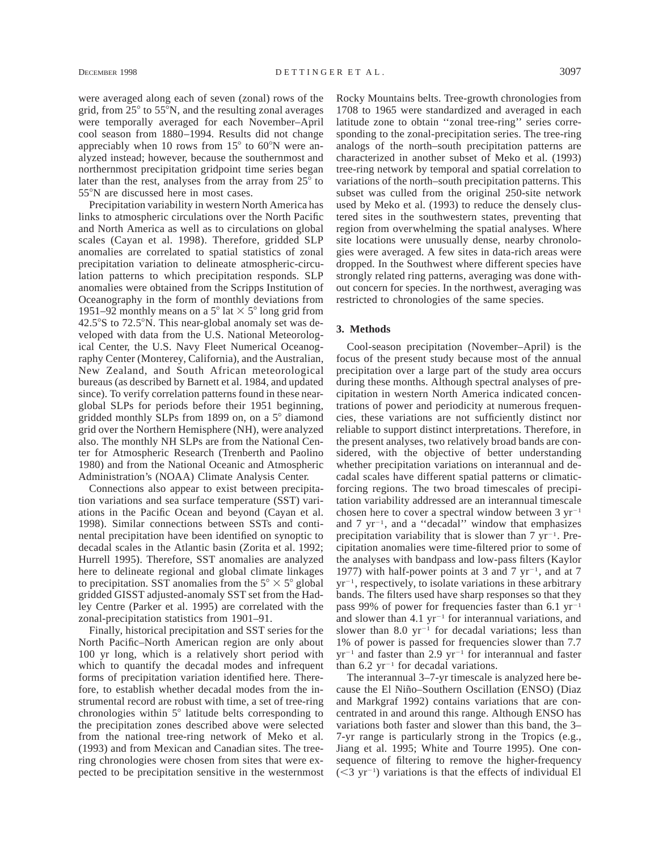were averaged along each of seven (zonal) rows of the grid, from  $25^{\circ}$  to  $55^{\circ}$ N, and the resulting zonal averages were temporally averaged for each November–April cool season from 1880–1994. Results did not change appreciably when 10 rows from  $15^{\circ}$  to 60 $^{\circ}$ N were analyzed instead; however, because the southernmost and northernmost precipitation gridpoint time series began later than the rest, analyses from the array from  $25^{\circ}$  to 55°N are discussed here in most cases.

Precipitation variability in western North America has links to atmospheric circulations over the North Pacific and North America as well as to circulations on global scales (Cayan et al. 1998). Therefore, gridded SLP anomalies are correlated to spatial statistics of zonal precipitation variation to delineate atmospheric-circulation patterns to which precipitation responds. SLP anomalies were obtained from the Scripps Institution of Oceanography in the form of monthly deviations from 1951–92 monthly means on a  $5^{\circ}$  lat  $\times$  5° long grid from  $42.5^{\circ}$ S to  $72.5^{\circ}$ N. This near-global anomaly set was developed with data from the U.S. National Meteorological Center, the U.S. Navy Fleet Numerical Oceanography Center (Monterey, California), and the Australian, New Zealand, and South African meteorological bureaus (as described by Barnett et al. 1984, and updated since). To verify correlation patterns found in these nearglobal SLPs for periods before their 1951 beginning, gridded monthly SLPs from 1899 on, on a  $5^\circ$  diamond grid over the Northern Hemisphere (NH), were analyzed also. The monthly NH SLPs are from the National Center for Atmospheric Research (Trenberth and Paolino 1980) and from the National Oceanic and Atmospheric Administration's (NOAA) Climate Analysis Center.

Connections also appear to exist between precipitation variations and sea surface temperature (SST) variations in the Pacific Ocean and beyond (Cayan et al. 1998). Similar connections between SSTs and continental precipitation have been identified on synoptic to decadal scales in the Atlantic basin (Zorita et al. 1992; Hurrell 1995). Therefore, SST anomalies are analyzed here to delineate regional and global climate linkages to precipitation. SST anomalies from the  $5^{\circ} \times 5^{\circ}$  global gridded GISST adjusted-anomaly SST set from the Hadley Centre (Parker et al. 1995) are correlated with the zonal-precipitation statistics from 1901–91.

Finally, historical precipitation and SST series for the North Pacific–North American region are only about 100 yr long, which is a relatively short period with which to quantify the decadal modes and infrequent forms of precipitation variation identified here. Therefore, to establish whether decadal modes from the instrumental record are robust with time, a set of tree-ring chronologies within  $5^\circ$  latitude belts corresponding to the precipitation zones described above were selected from the national tree-ring network of Meko et al. (1993) and from Mexican and Canadian sites. The treering chronologies were chosen from sites that were expected to be precipitation sensitive in the westernmost Rocky Mountains belts. Tree-growth chronologies from 1708 to 1965 were standardized and averaged in each latitude zone to obtain ''zonal tree-ring'' series corresponding to the zonal-precipitation series. The tree-ring analogs of the north–south precipitation patterns are characterized in another subset of Meko et al. (1993) tree-ring network by temporal and spatial correlation to variations of the north–south precipitation patterns. This subset was culled from the original 250-site network used by Meko et al. (1993) to reduce the densely clustered sites in the southwestern states, preventing that region from overwhelming the spatial analyses. Where site locations were unusually dense, nearby chronologies were averaged. A few sites in data-rich areas were dropped. In the Southwest where different species have strongly related ring patterns, averaging was done without concern for species. In the northwest, averaging was restricted to chronologies of the same species.

## **3. Methods**

Cool-season precipitation (November–April) is the focus of the present study because most of the annual precipitation over a large part of the study area occurs during these months. Although spectral analyses of precipitation in western North America indicated concentrations of power and periodicity at numerous frequencies, these variations are not sufficiently distinct nor reliable to support distinct interpretations. Therefore, in the present analyses, two relatively broad bands are considered, with the objective of better understanding whether precipitation variations on interannual and decadal scales have different spatial patterns or climaticforcing regions. The two broad timescales of precipitation variability addressed are an interannual timescale chosen here to cover a spectral window between  $3 \text{ yr}^{-1}$ and  $7 \text{ yr}^{-1}$ , and a "decadal" window that emphasizes precipitation variability that is slower than  $7 \text{ yr}^{-1}$ . Precipitation anomalies were time-filtered prior to some of the analyses with bandpass and low-pass filters (Kaylor 1977) with half-power points at 3 and 7  $yr^{-1}$ , and at 7  $yr^{-1}$ , respectively, to isolate variations in these arbitrary bands. The filters used have sharp responses so that they pass 99% of power for frequencies faster than 6.1  $yr^{-1}$ and slower than 4.1  $yr^{-1}$  for interannual variations, and slower than 8.0  $yr^{-1}$  for decadal variations; less than 1% of power is passed for frequencies slower than 7.7  $yr^{-1}$  and faster than 2.9  $yr^{-1}$  for interannual and faster than  $6.2 \text{ yr}^{-1}$  for decadal variations.

The interannual 3–7-yr timescale is analyzed here because the El Niño-Southern Oscillation (ENSO) (Diaz and Markgraf 1992) contains variations that are concentrated in and around this range. Although ENSO has variations both faster and slower than this band, the 3– 7-yr range is particularly strong in the Tropics (e.g., Jiang et al. 1995; White and Tourre 1995). One consequence of filtering to remove the higher-frequency  $(<$ 3 yr<sup>-1</sup>) variations is that the effects of individual El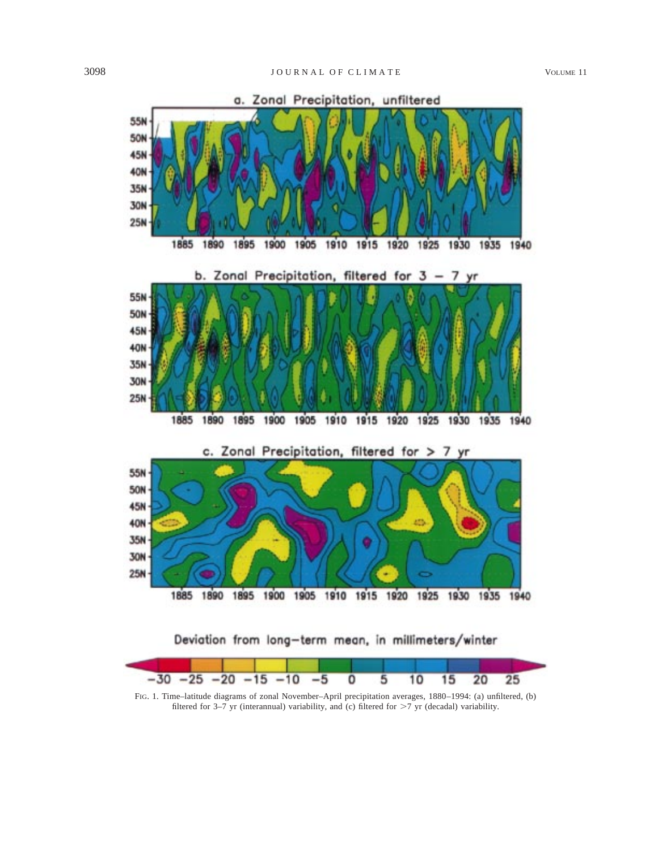

FIG. 1. Time–latitude diagrams of zonal November–April precipitation averages, 1880–1994: (a) unfiltered, (b) filtered for 3–7 yr (interannual) variability, and (c) filtered for  $>7$  yr (decadal) variability.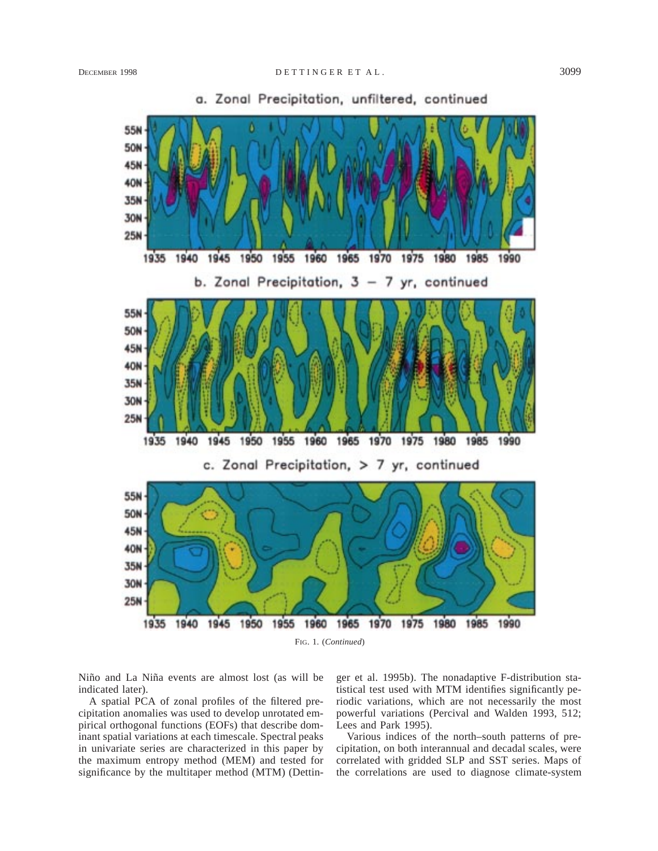

a. Zonal Precipitation, unfiltered, continued

Niño and La Niña events are almost lost (as will be indicated later).

A spatial PCA of zonal profiles of the filtered precipitation anomalies was used to develop unrotated empirical orthogonal functions (EOFs) that describe dominant spatial variations at each timescale. Spectral peaks in univariate series are characterized in this paper by the maximum entropy method (MEM) and tested for significance by the multitaper method (MTM) (Dettinger et al. 1995b). The nonadaptive F-distribution statistical test used with MTM identifies significantly periodic variations, which are not necessarily the most powerful variations (Percival and Walden 1993, 512; Lees and Park 1995).

Various indices of the north–south patterns of precipitation, on both interannual and decadal scales, were correlated with gridded SLP and SST series. Maps of the correlations are used to diagnose climate-system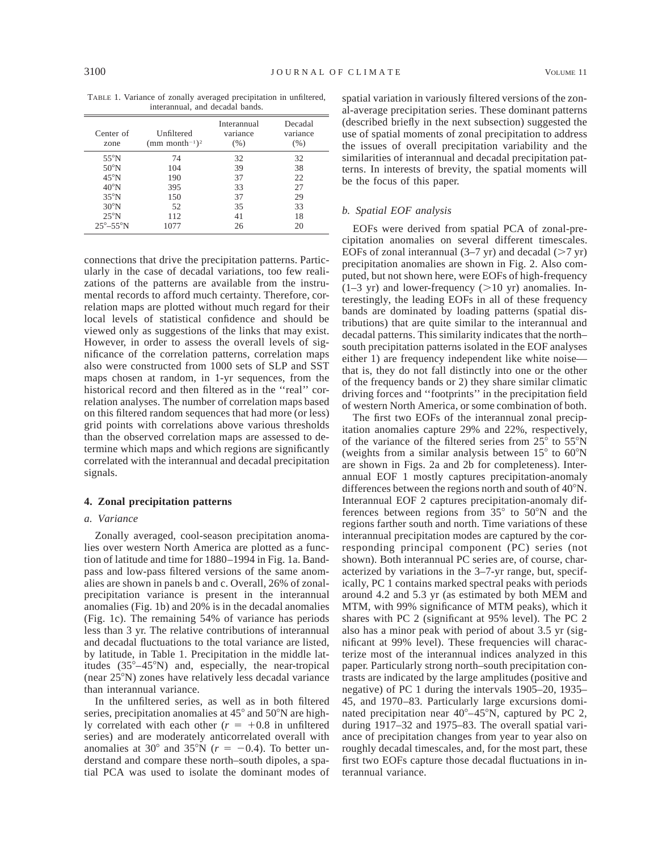TABLE 1. Variance of zonally averaged precipitation in unfiltered, interannual, and decadal bands.

| Center of<br>zone       | Unfiltered<br>(mm month <sup>-1</sup> ) <sup>2</sup> | Interannual<br>variance<br>(% ) | Decadal<br>variance<br>$(\%)$ |
|-------------------------|------------------------------------------------------|---------------------------------|-------------------------------|
| $55^{\circ}$ N          | 74                                                   | 32                              | 32                            |
| $50^{\circ}$ N          | 104                                                  | 39                              | 38                            |
| $45^{\circ}$ N          | 190                                                  | 37                              | 22                            |
| $40^{\circ}$ N          | 395                                                  | 33                              | 27                            |
| $35^{\circ}$ N          | 150                                                  | 37                              | 29                            |
| $30^{\circ}$ N          | 52                                                   | 35                              | 33                            |
| $25^{\circ}$ N          | 112                                                  | 41                              | 18                            |
| $25^\circ - 55^\circ N$ | 1077                                                 | 26                              | 20                            |

connections that drive the precipitation patterns. Particularly in the case of decadal variations, too few realizations of the patterns are available from the instrumental records to afford much certainty. Therefore, correlation maps are plotted without much regard for their local levels of statistical confidence and should be viewed only as suggestions of the links that may exist. However, in order to assess the overall levels of significance of the correlation patterns, correlation maps also were constructed from 1000 sets of SLP and SST maps chosen at random, in 1-yr sequences, from the historical record and then filtered as in the "real" correlation analyses. The number of correlation maps based on this filtered random sequences that had more (or less) grid points with correlations above various thresholds than the observed correlation maps are assessed to determine which maps and which regions are significantly correlated with the interannual and decadal precipitation signals.

## **4. Zonal precipitation patterns**

#### *a. Variance*

Zonally averaged, cool-season precipitation anomalies over western North America are plotted as a function of latitude and time for 1880–1994 in Fig. 1a. Bandpass and low-pass filtered versions of the same anomalies are shown in panels b and c. Overall, 26% of zonalprecipitation variance is present in the interannual anomalies (Fig. 1b) and 20% is in the decadal anomalies (Fig. 1c). The remaining 54% of variance has periods less than 3 yr. The relative contributions of interannual and decadal fluctuations to the total variance are listed, by latitude, in Table 1. Precipitation in the middle latitudes  $(35^{\circ}-45^{\circ}N)$  and, especially, the near-tropical (near 258N) zones have relatively less decadal variance than interannual variance.

In the unfiltered series, as well as in both filtered series, precipitation anomalies at  $45^{\circ}$  and  $50^{\circ}$ N are highly correlated with each other  $(r = +0.8$  in unfiltered series) and are moderately anticorrelated overall with anomalies at 30 $\degree$  and 35 $\degree$ N ( $r = -0.4$ ). To better understand and compare these north–south dipoles, a spatial PCA was used to isolate the dominant modes of

spatial variation in variously filtered versions of the zonal-average precipitation series. These dominant patterns (described briefly in the next subsection) suggested the use of spatial moments of zonal precipitation to address the issues of overall precipitation variability and the similarities of interannual and decadal precipitation patterns. In interests of brevity, the spatial moments will be the focus of this paper.

## *b. Spatial EOF analysis*

EOFs were derived from spatial PCA of zonal-precipitation anomalies on several different timescales. EOFs of zonal interannual  $(3-7 \text{ yr})$  and decadal  $(>7 \text{ yr})$ precipitation anomalies are shown in Fig. 2. Also computed, but not shown here, were EOFs of high-frequency  $(1-3 \text{ yr})$  and lower-frequency  $(>10 \text{ yr})$  anomalies. Interestingly, the leading EOFs in all of these frequency bands are dominated by loading patterns (spatial distributions) that are quite similar to the interannual and decadal patterns. This similarity indicates that the north– south precipitation patterns isolated in the EOF analyses either 1) are frequency independent like white noise that is, they do not fall distinctly into one or the other of the frequency bands or 2) they share similar climatic driving forces and ''footprints'' in the precipitation field of western North America, or some combination of both.

The first two EOFs of the interannual zonal precipitation anomalies capture 29% and 22%, respectively, of the variance of the filtered series from  $25^{\circ}$  to  $55^{\circ}$ N (weights from a similar analysis between  $15^{\circ}$  to 60 $^{\circ}$ N are shown in Figs. 2a and 2b for completeness). Interannual EOF 1 mostly captures precipitation-anomaly differences between the regions north and south of  $40^{\circ}$ N. Interannual EOF 2 captures precipitation-anomaly differences between regions from  $35^{\circ}$  to  $50^{\circ}$ N and the regions farther south and north. Time variations of these interannual precipitation modes are captured by the corresponding principal component (PC) series (not shown). Both interannual PC series are, of course, characterized by variations in the 3–7-yr range, but, specifically, PC 1 contains marked spectral peaks with periods around 4.2 and 5.3 yr (as estimated by both MEM and MTM, with 99% significance of MTM peaks), which it shares with PC 2 (significant at 95% level). The PC 2 also has a minor peak with period of about 3.5 yr (significant at 99% level). These frequencies will characterize most of the interannual indices analyzed in this paper. Particularly strong north–south precipitation contrasts are indicated by the large amplitudes (positive and negative) of PC 1 during the intervals 1905–20, 1935– 45, and 1970–83. Particularly large excursions dominated precipitation near  $40^{\circ} - 45^{\circ}$ N, captured by PC 2, during 1917–32 and 1975–83. The overall spatial variance of precipitation changes from year to year also on roughly decadal timescales, and, for the most part, these first two EOFs capture those decadal fluctuations in interannual variance.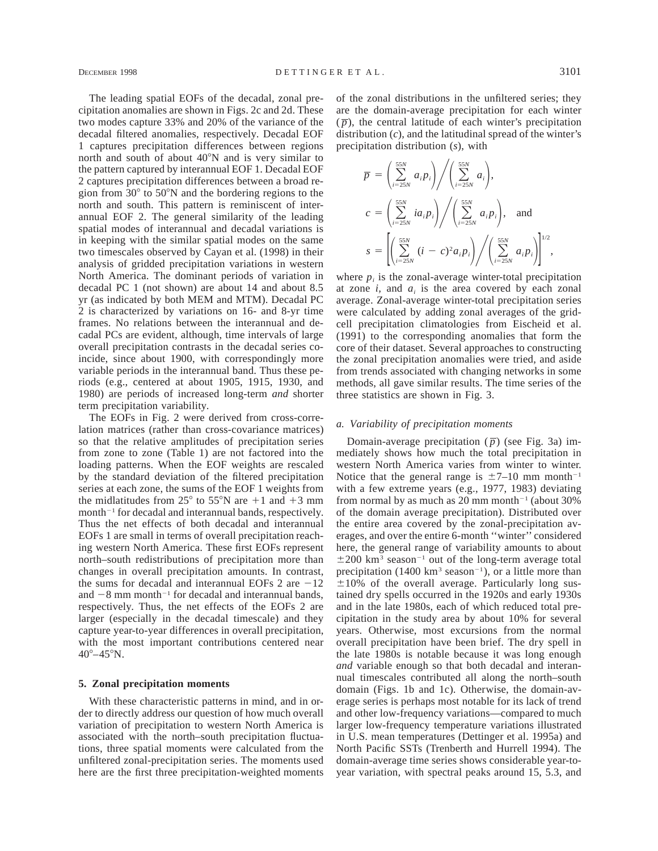The leading spatial EOFs of the decadal, zonal precipitation anomalies are shown in Figs. 2c and 2d. These two modes capture 33% and 20% of the variance of the decadal filtered anomalies, respectively. Decadal EOF 1 captures precipitation differences between regions north and south of about  $40^{\circ}$ N and is very similar to the pattern captured by interannual EOF 1. Decadal EOF 2 captures precipitation differences between a broad region from  $30^{\circ}$  to  $50^{\circ}$ N and the bordering regions to the north and south. This pattern is reminiscent of interannual EOF 2. The general similarity of the leading spatial modes of interannual and decadal variations is in keeping with the similar spatial modes on the same two timescales observed by Cayan et al. (1998) in their analysis of gridded precipitation variations in western North America. The dominant periods of variation in decadal PC 1 (not shown) are about 14 and about 8.5 yr (as indicated by both MEM and MTM). Decadal PC 2 is characterized by variations on 16- and 8-yr time frames. No relations between the interannual and decadal PCs are evident, although, time intervals of large overall precipitation contrasts in the decadal series coincide, since about 1900, with correspondingly more variable periods in the interannual band. Thus these periods (e.g., centered at about 1905, 1915, 1930, and 1980) are periods of increased long-term *and* shorter term precipitation variability.

The EOFs in Fig. 2 were derived from cross-correlation matrices (rather than cross-covariance matrices) so that the relative amplitudes of precipitation series from zone to zone (Table 1) are not factored into the loading patterns. When the EOF weights are rescaled by the standard deviation of the filtered precipitation series at each zone, the sums of the EOF 1 weights from the midlatitudes from  $25^{\circ}$  to  $55^{\circ}$ N are  $+1$  and  $+3$  mm month<sup> $-1$ </sup> for decadal and interannual bands, respectively. Thus the net effects of both decadal and interannual EOFs 1 are small in terms of overall precipitation reaching western North America. These first EOFs represent north–south redistributions of precipitation more than changes in overall precipitation amounts. In contrast, the sums for decadal and interannual EOFs 2 are  $-12$ and  $-8$  mm month<sup>-1</sup> for decadal and interannual bands, respectively. Thus, the net effects of the EOFs 2 are larger (especially in the decadal timescale) and they capture year-to-year differences in overall precipitation, with the most important contributions centered near  $40^{\circ} - 45^{\circ}$ N.

## **5. Zonal precipitation moments**

With these characteristic patterns in mind, and in order to directly address our question of how much overall variation of precipitation to western North America is associated with the north–south precipitation fluctuations, three spatial moments were calculated from the unfiltered zonal-precipitation series. The moments used here are the first three precipitation-weighted moments of the zonal distributions in the unfiltered series; they are the domain-average precipitation for each winter  $(\bar{p})$ , the central latitude of each winter's precipitation distribution (*c*), and the latitudinal spread of the winter's precipitation distribution (*s*), with

$$
\overline{p} = \left(\sum_{i=25N}^{55N} a_i p_i\right) / \left(\sum_{i=25N}^{55N} a_i\right),
$$
\n
$$
c = \left(\sum_{i=25N}^{55N} i a_i p_i\right) / \left(\sum_{i=25N}^{55N} a_i p_i\right),
$$
 and\n
$$
s = \left[\left(\sum_{i=25N}^{55N} (i-c)^2 a_i p_i\right) / \left(\sum_{i=25N}^{55N} a_i p_i\right)\right]^{1/2},
$$

where  $p_i$  is the zonal-average winter-total precipitation at zone  $i$ , and  $a_i$  is the area covered by each zonal average. Zonal-average winter-total precipitation series were calculated by adding zonal averages of the gridcell precipitation climatologies from Eischeid et al. (1991) to the corresponding anomalies that form the core of their dataset. Several approaches to constructing the zonal precipitation anomalies were tried, and aside from trends associated with changing networks in some methods, all gave similar results. The time series of the three statistics are shown in Fig. 3.

#### *a. Variability of precipitation moments*

Domain-average precipitation  $(\bar{p})$  (see Fig. 3a) immediately shows how much the total precipitation in western North America varies from winter to winter. Notice that the general range is  $\pm$ 7–10 mm month<sup>-1</sup> with a few extreme years (e.g., 1977, 1983) deviating from normal by as much as 20 mm month<sup>-1</sup> (about 30%) of the domain average precipitation). Distributed over the entire area covered by the zonal-precipitation averages, and over the entire 6-month ''winter'' considered here, the general range of variability amounts to about  $\pm 200$  km<sup>3</sup> season<sup>-1</sup> out of the long-term average total precipitation (1400 km<sup>3</sup> season<sup>-1</sup>), or a little more than  $\pm 10\%$  of the overall average. Particularly long sustained dry spells occurred in the 1920s and early 1930s and in the late 1980s, each of which reduced total precipitation in the study area by about 10% for several years. Otherwise, most excursions from the normal overall precipitation have been brief. The dry spell in the late 1980s is notable because it was long enough *and* variable enough so that both decadal and interannual timescales contributed all along the north–south domain (Figs. 1b and 1c). Otherwise, the domain-average series is perhaps most notable for its lack of trend and other low-frequency variations—compared to much larger low-frequency temperature variations illustrated in U.S. mean temperatures (Dettinger et al. 1995a) and North Pacific SSTs (Trenberth and Hurrell 1994). The domain-average time series shows considerable year-toyear variation, with spectral peaks around 15, 5.3, and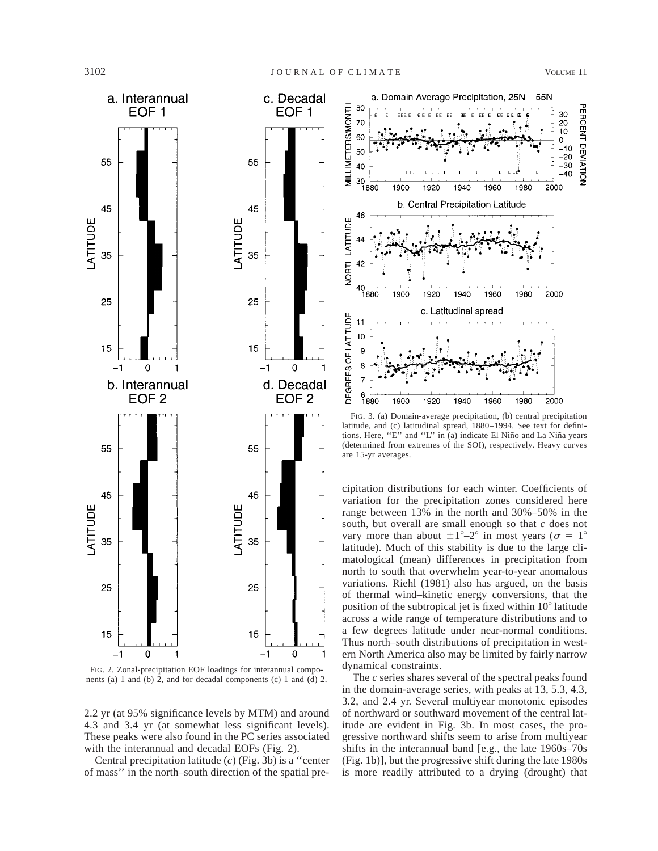

FIG. 2. Zonal-precipitation EOF loadings for interannual components (a) 1 and (b) 2, and for decadal components (c) 1 and (d) 2.

2.2 yr (at 95% significance levels by MTM) and around 4.3 and 3.4 yr (at somewhat less significant levels). These peaks were also found in the PC series associated with the interannual and decadal EOFs (Fig. 2).

Central precipitation latitude (*c*) (Fig. 3b) is a ''center of mass'' in the north–south direction of the spatial pre-



FIG. 3. (a) Domain-average precipitation, (b) central precipitation latitude, and (c) latitudinal spread, 1880–1994. See text for definitions. Here, "E" and "L" in (a) indicate El Niño and La Niña years (determined from extremes of the SOI), respectively. Heavy curves are 15-yr averages.

cipitation distributions for each winter. Coefficients of variation for the precipitation zones considered here range between 13% in the north and 30%–50% in the south, but overall are small enough so that *c* does not vary more than about  $\pm 1^{\circ}-2^{\circ}$  in most years ( $\sigma = 1^{\circ}$ latitude). Much of this stability is due to the large climatological (mean) differences in precipitation from north to south that overwhelm year-to-year anomalous variations. Riehl (1981) also has argued, on the basis of thermal wind–kinetic energy conversions, that the position of the subtropical jet is fixed within 10<sup>°</sup> latitude across a wide range of temperature distributions and to a few degrees latitude under near-normal conditions. Thus north–south distributions of precipitation in western North America also may be limited by fairly narrow dynamical constraints.

The *c* series shares several of the spectral peaks found in the domain-average series, with peaks at 13, 5.3, 4.3, 3.2, and 2.4 yr. Several multiyear monotonic episodes of northward or southward movement of the central latitude are evident in Fig. 3b. In most cases, the progressive northward shifts seem to arise from multiyear shifts in the interannual band [e.g., the late 1960s–70s (Fig. 1b)], but the progressive shift during the late 1980s is more readily attributed to a drying (drought) that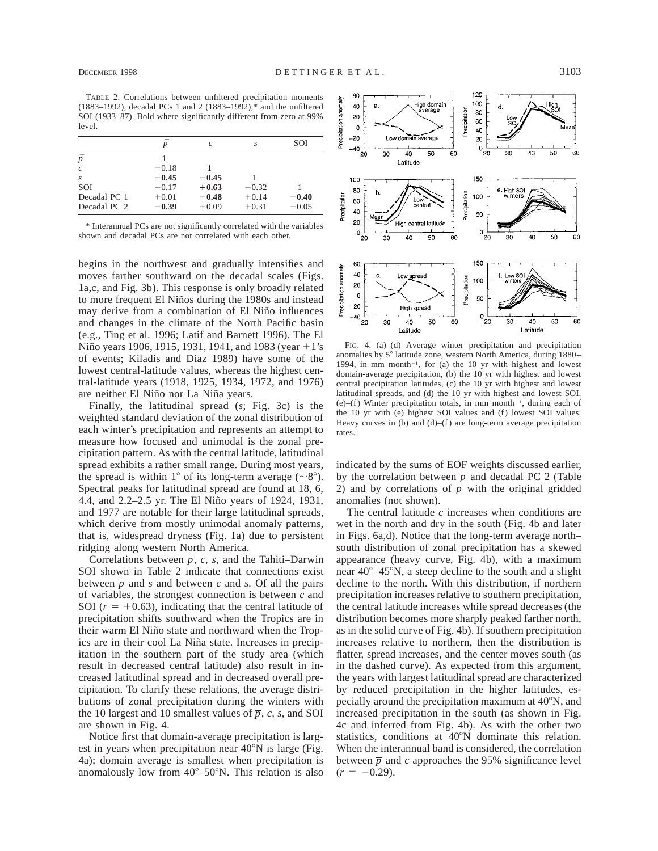TABLE 2. Correlations between unfiltered precipitation moments (1883–1992), decadal PCs 1 and 2 (1883–1992),\* and the unfiltered SOI (1933–87). Bold where significantly different from zero at 99% level.

|               | $\boldsymbol{v}$ | $\mathcal{C}$ | S       | SOI     |
|---------------|------------------|---------------|---------|---------|
| $\bar{p}$     |                  |               |         |         |
| $\mathcal{C}$ | $-0.18$          |               |         |         |
| S             | $-0.45$          | $-0.45$       |         |         |
| SOI           | $-0.17$          | $+0.63$       | $-0.32$ |         |
| Decadal PC 1  | $+0.01$          | $-0.48$       | $+0.14$ | $-0.40$ |
| Decadal PC 2  | $-0.39$          | $+0.09$       | $+0.31$ | $+0.05$ |

\* Interannual PCs are not significantly correlated with the variables shown and decadal PCs are not correlated with each other.

begins in the northwest and gradually intensifies and moves farther southward on the decadal scales (Figs. 1a,c, and Fig. 3b). This response is only broadly related to more frequent El Niños during the 1980s and instead may derive from a combination of El Niño influences and changes in the climate of the North Pacific basin (e.g., Ting et al. 1996; Latif and Barnett 1996). The El Niño years 1906, 1915, 1931, 1941, and 1983 (year  $+1$ 's of events; Kiladis and Diaz 1989) have some of the lowest central-latitude values, whereas the highest central-latitude years (1918, 1925, 1934, 1972, and 1976) are neither El Niño nor La Niña years.

Finally, the latitudinal spread (*s*; Fig. 3c) is the weighted standard deviation of the zonal distribution of each winter's precipitation and represents an attempt to measure how focused and unimodal is the zonal precipitation pattern. As with the central latitude, latitudinal spread exhibits a rather small range. During most years, the spread is within 1° of its long-term average ( $\sim 8^{\circ}$ ). Spectral peaks for latitudinal spread are found at 18, 6, 4.4, and 2.2–2.5 yr. The El Niño years of 1924, 1931, and 1977 are notable for their large latitudinal spreads, which derive from mostly unimodal anomaly patterns, that is, widespread dryness (Fig. 1a) due to persistent ridging along western North America.

Correlations between  $\overline{p}$ , *c*, *s*, and the Tahiti–Darwin SOI shown in Table 2 indicate that connections exist between  $\overline{p}$  and *s* and between *c* and *s*. Of all the pairs of variables, the strongest connection is between *c* and SOI  $(r = +0.63)$ , indicating that the central latitude of precipitation shifts southward when the Tropics are in their warm El Niño state and northward when the Tropics are in their cool La Niña state. Increases in precipitation in the southern part of the study area (which result in decreased central latitude) also result in increased latitudinal spread and in decreased overall precipitation. To clarify these relations, the average distributions of zonal precipitation during the winters with the 10 largest and 10 smallest values of  $\overline{p}$ , *c*, *s*, and SOI are shown in Fig. 4.

Notice first that domain-average precipitation is largest in years when precipitation near  $40^{\circ}$ N is large (Fig. 4a); domain average is smallest when precipitation is anomalously low from  $40^{\circ}$ –50°N. This relation is also



FIG. 4. (a)–(d) Average winter precipitation and precipitation anomalies by 5° latitude zone, western North America, during 1880– 1994, in mm month<sup>-1</sup>, for (a) the 10 yr with highest and lowest domain-average precipitation, (b) the 10 yr with highest and lowest central precipitation latitudes, (c) the 10 yr with highest and lowest latitudinal spreads, and (d) the 10 yr with highest and lowest SOI. (e)–(f) Winter precipitation totals, in mm month<sup>-1</sup>, during each of the 10 yr with (e) highest SOI values and (f) lowest SOI values. Heavy curves in  $(b)$  and  $(d)$ – $(f)$  are long-term average precipitation rates.

indicated by the sums of EOF weights discussed earlier, by the correlation between  $\overline{p}$  and decadal PC 2 (Table 2) and by correlations of  $\overline{p}$  with the original gridded anomalies (not shown).

The central latitude *c* increases when conditions are wet in the north and dry in the south (Fig. 4b and later in Figs. 6a,d). Notice that the long-term average north– south distribution of zonal precipitation has a skewed appearance (heavy curve, Fig. 4b), with a maximum near  $40^{\circ} - 45^{\circ}$ N, a steep decline to the south and a slight decline to the north. With this distribution, if northern precipitation increases relative to southern precipitation, the central latitude increases while spread decreases (the distribution becomes more sharply peaked farther north, as in the solid curve of Fig. 4b). If southern precipitation increases relative to northern, then the distribution is flatter, spread increases, and the center moves south (as in the dashed curve). As expected from this argument, the years with largest latitudinal spread are characterized by reduced precipitation in the higher latitudes, especially around the precipitation maximum at  $40^{\circ}$ N, and increased precipitation in the south (as shown in Fig. 4c and inferred from Fig. 4b). As with the other two statistics, conditions at 40°N dominate this relation. When the interannual band is considered, the correlation between  $\bar{p}$  and *c* approaches the 95% significance level  $(r = -0.29)$ .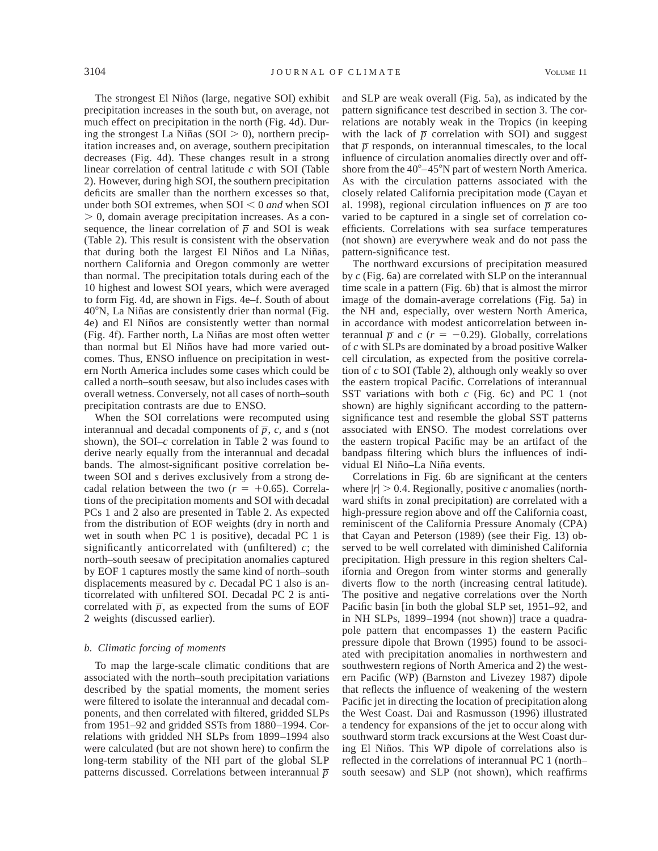The strongest El Niños (large, negative SOI) exhibit precipitation increases in the south but, on average, not much effect on precipitation in the north (Fig. 4d). During the strongest La Niñas (SOI  $>$  0), northern precipitation increases and, on average, southern precipitation decreases (Fig. 4d). These changes result in a strong linear correlation of central latitude *c* with SOI (Table 2). However, during high SOI, the southern precipitation deficits are smaller than the northern excesses so that, under both SOI extremes, when  $SOI < 0$  *and* when SOI  $> 0$ , domain average precipitation increases. As a consequence, the linear correlation of  $\overline{p}$  and SOI is weak (Table 2). This result is consistent with the observation that during both the largest El Niños and La Niñas, northern California and Oregon commonly are wetter than normal. The precipitation totals during each of the 10 highest and lowest SOI years, which were averaged to form Fig. 4d, are shown in Figs. 4e–f. South of about  $40^{\circ}$ N, La Niñas are consistently drier than normal (Fig. 4e) and El Niños are consistently wetter than normal (Fig. 4f). Farther north, La Niñas are most often wetter than normal but El Niños have had more varied outcomes. Thus, ENSO influence on precipitation in western North America includes some cases which could be called a north–south seesaw, but also includes cases with overall wetness. Conversely, not all cases of north–south precipitation contrasts are due to ENSO.

When the SOI correlations were recomputed using interannual and decadal components of  $\overline{p}$ , *c*, and *s* (not shown), the SOI–*c* correlation in Table 2 was found to derive nearly equally from the interannual and decadal bands. The almost-significant positive correlation between SOI and *s* derives exclusively from a strong decadal relation between the two  $(r = +0.65)$ . Correlations of the precipitation moments and SOI with decadal PCs 1 and 2 also are presented in Table 2. As expected from the distribution of EOF weights (dry in north and wet in south when PC 1 is positive), decadal PC 1 is significantly anticorrelated with (unfiltered) *c*; the north–south seesaw of precipitation anomalies captured by EOF 1 captures mostly the same kind of north–south displacements measured by *c.* Decadal PC 1 also is anticorrelated with unfiltered SOI. Decadal PC 2 is anticorrelated with  $\overline{p}$ , as expected from the sums of EOF 2 weights (discussed earlier).

### *b. Climatic forcing of moments*

To map the large-scale climatic conditions that are associated with the north–south precipitation variations described by the spatial moments, the moment series were filtered to isolate the interannual and decadal components, and then correlated with filtered, gridded SLPs from 1951–92 and gridded SSTs from 1880–1994. Correlations with gridded NH SLPs from 1899–1994 also were calculated (but are not shown here) to confirm the long-term stability of the NH part of the global SLP patterns discussed. Correlations between interannual *p*

and SLP are weak overall (Fig. 5a), as indicated by the pattern significance test described in section 3. The correlations are notably weak in the Tropics (in keeping with the lack of  $\bar{p}$  correlation with SOI) and suggest that  $\bar{p}$  responds, on interannual timescales, to the local influence of circulation anomalies directly over and offshore from the  $40^{\circ} - 45^{\circ}$ N part of western North America. As with the circulation patterns associated with the closely related California precipitation mode (Cayan et al. 1998), regional circulation influences on  $\overline{p}$  are too varied to be captured in a single set of correlation coefficients. Correlations with sea surface temperatures (not shown) are everywhere weak and do not pass the pattern-significance test.

The northward excursions of precipitation measured by *c* (Fig. 6a) are correlated with SLP on the interannual time scale in a pattern (Fig. 6b) that is almost the mirror image of the domain-average correlations (Fig. 5a) in the NH and, especially, over western North America, in accordance with modest anticorrelation between interannual  $\overline{p}$  and  $c$  ( $r = -0.29$ ). Globally, correlations of *c* with SLPs are dominated by a broad positive Walker cell circulation, as expected from the positive correlation of *c* to SOI (Table 2), although only weakly so over the eastern tropical Pacific. Correlations of interannual SST variations with both *c* (Fig. 6c) and PC 1 (not shown) are highly significant according to the patternsignificance test and resemble the global SST patterns associated with ENSO. The modest correlations over the eastern tropical Pacific may be an artifact of the bandpass filtering which blurs the influences of individual El Niño-La Niña events.

Correlations in Fig. 6b are significant at the centers where  $|r| > 0.4$ . Regionally, positive *c* anomalies (northward shifts in zonal precipitation) are correlated with a high-pressure region above and off the California coast, reminiscent of the California Pressure Anomaly (CPA) that Cayan and Peterson (1989) (see their Fig. 13) observed to be well correlated with diminished California precipitation. High pressure in this region shelters California and Oregon from winter storms and generally diverts flow to the north (increasing central latitude). The positive and negative correlations over the North Pacific basin [in both the global SLP set, 1951–92, and in NH SLPs, 1899–1994 (not shown)] trace a quadrapole pattern that encompasses 1) the eastern Pacific pressure dipole that Brown (1995) found to be associated with precipitation anomalies in northwestern and southwestern regions of North America and 2) the western Pacific (WP) (Barnston and Livezey 1987) dipole that reflects the influence of weakening of the western Pacific jet in directing the location of precipitation along the West Coast. Dai and Rasmusson (1996) illustrated a tendency for expansions of the jet to occur along with southward storm track excursions at the West Coast during El Niños. This WP dipole of correlations also is reflected in the correlations of interannual PC 1 (north– south seesaw) and SLP (not shown), which reaffirms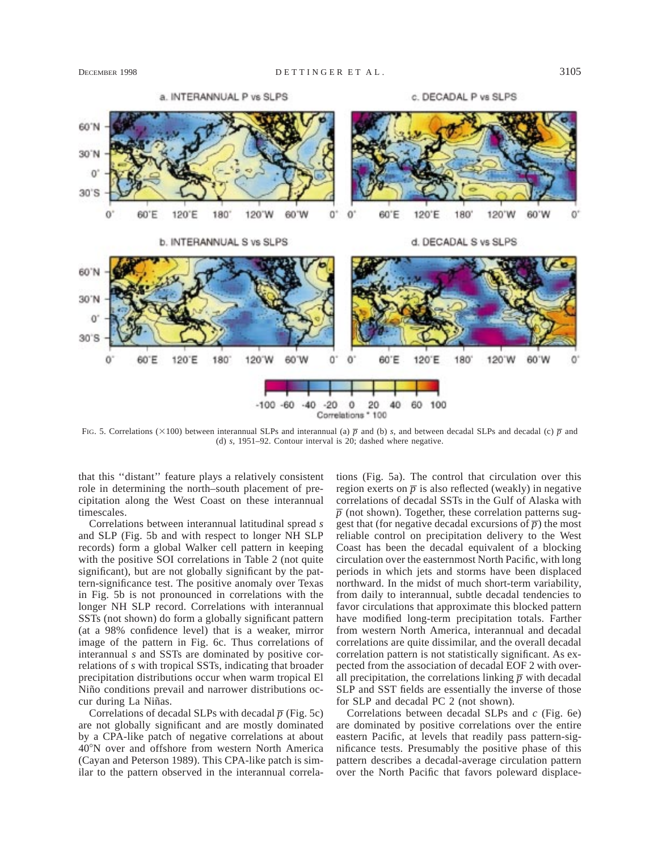

FIG. 5. Correlations ( $\times$ 100) between interannual SLPs and interannual (a)  $\bar{p}$  and (b) *s*, and between decadal SLPs and decadal (c)  $\bar{p}$  and (d) *s,* 1951–92. Contour interval is 20; dashed where negative.

that this ''distant'' feature plays a relatively consistent role in determining the north–south placement of precipitation along the West Coast on these interannual timescales.

Correlations between interannual latitudinal spread *s* and SLP (Fig. 5b and with respect to longer NH SLP records) form a global Walker cell pattern in keeping with the positive SOI correlations in Table 2 (not quite significant), but are not globally significant by the pattern-significance test. The positive anomaly over Texas in Fig. 5b is not pronounced in correlations with the longer NH SLP record. Correlations with interannual SSTs (not shown) do form a globally significant pattern (at a 98% confidence level) that is a weaker, mirror image of the pattern in Fig. 6c. Thus correlations of interannual *s* and SSTs are dominated by positive correlations of *s* with tropical SSTs, indicating that broader precipitation distributions occur when warm tropical El Niño conditions prevail and narrower distributions occur during La Niñas.

Correlations of decadal SLPs with decadal  $\overline{p}$  (Fig. 5c) are not globally significant and are mostly dominated by a CPA-like patch of negative correlations at about 408N over and offshore from western North America (Cayan and Peterson 1989). This CPA-like patch is similar to the pattern observed in the interannual correlations (Fig. 5a). The control that circulation over this region exerts on  $\bar{p}$  is also reflected (weakly) in negative correlations of decadal SSTs in the Gulf of Alaska with  $\bar{p}$  (not shown). Together, these correlation patterns suggest that (for negative decadal excursions of  $\overline{p}$ ) the most reliable control on precipitation delivery to the West Coast has been the decadal equivalent of a blocking circulation over the easternmost North Pacific, with long periods in which jets and storms have been displaced northward. In the midst of much short-term variability, from daily to interannual, subtle decadal tendencies to favor circulations that approximate this blocked pattern have modified long-term precipitation totals. Farther from western North America, interannual and decadal correlations are quite dissimilar, and the overall decadal correlation pattern is not statistically significant. As expected from the association of decadal EOF 2 with overall precipitation, the correlations linking  $\bar{p}$  with decadal SLP and SST fields are essentially the inverse of those for SLP and decadal PC 2 (not shown).

Correlations between decadal SLPs and *c* (Fig. 6e) are dominated by positive correlations over the entire eastern Pacific, at levels that readily pass pattern-significance tests. Presumably the positive phase of this pattern describes a decadal-average circulation pattern over the North Pacific that favors poleward displace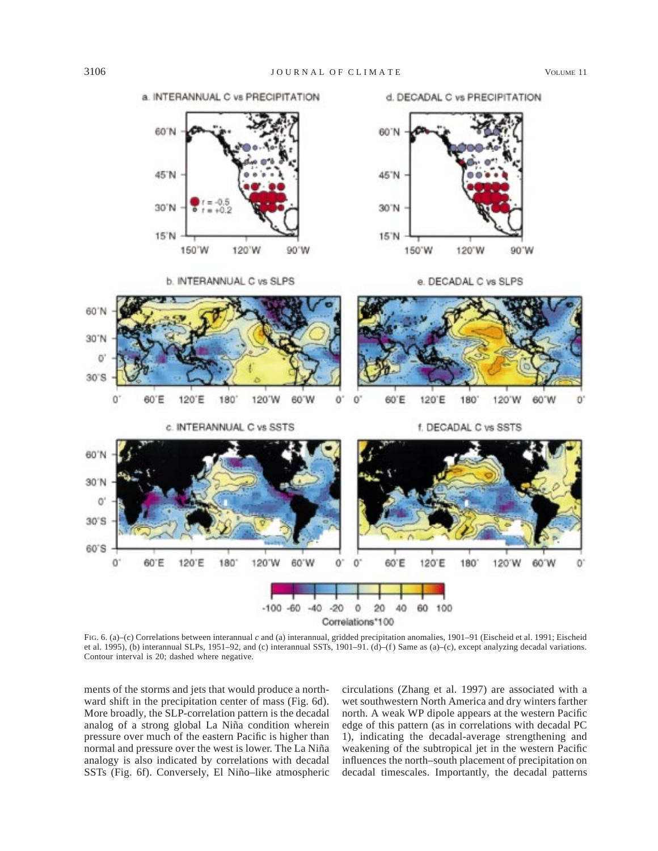607

 $30<sup>7</sup>$ 

d. DECADAL C vs PRECIPITATION



a INTERANNUAL C vs PRECIPITATION

60°N

45°N

30°N

15'N

150 W



120'W





90'W













FIG. 6. (a)–(c) Correlations between interannual *c* and (a) interannual, gridded precipitation anomalies, 1901–91 (Eischeid et al. 1991; Eischeid et al. 1995), (b) interannual SLPs, 1951–92, and (c) interannual SSTs, 1901–91. (d)–(f) Same as (a)–(c), except analyzing decadal variations. Contour interval is 20; dashed where negative.

ments of the storms and jets that would produce a northward shift in the precipitation center of mass (Fig. 6d). More broadly, the SLP-correlation pattern is the decadal analog of a strong global La Niña condition wherein pressure over much of the eastern Pacific is higher than normal and pressure over the west is lower. The La Niña analogy is also indicated by correlations with decadal SSTs (Fig. 6f). Conversely, El Niño-like atmospheric

circulations (Zhang et al. 1997) are associated with a wet southwestern North America and dry winters farther north. A weak WP dipole appears at the western Pacific edge of this pattern (as in correlations with decadal PC 1), indicating the decadal-average strengthening and weakening of the subtropical jet in the western Pacific influences the north–south placement of precipitation on decadal timescales. Importantly, the decadal patterns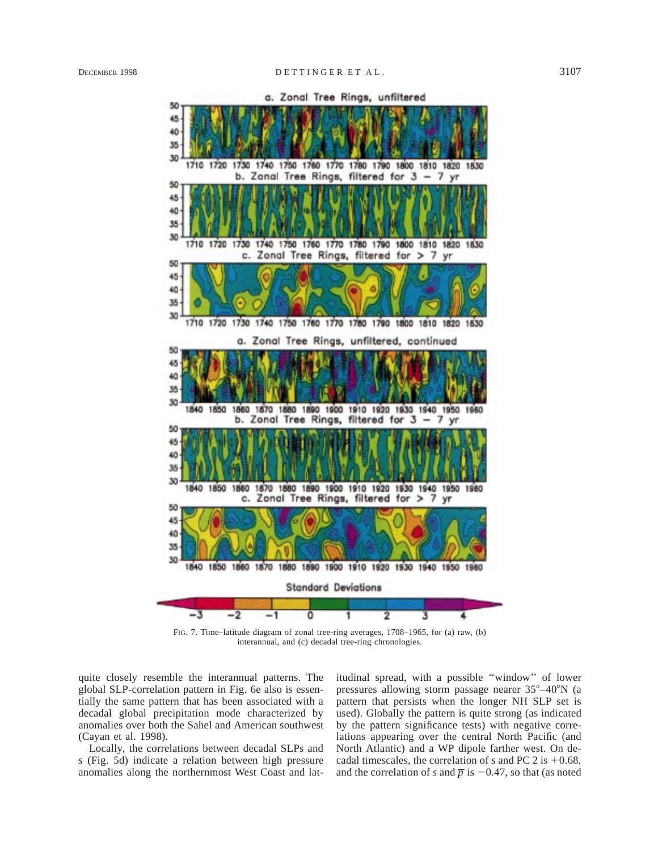

a. Zonal Tree Rings, unfiltered

FIG. 7. Time–latitude diagram of zonal tree-ring averages, 1708–1965, for (a) raw, (b) interannual, and (c) decadal tree-ring chronologies.

quite closely resemble the interannual patterns. The global SLP-correlation pattern in Fig. 6e also is essentially the same pattern that has been associated with a decadal global precipitation mode characterized by anomalies over both the Sahel and American southwest (Cayan et al. 1998).

Locally, the correlations between decadal SLPs and *s* (Fig. 5d) indicate a relation between high pressure anomalies along the northernmost West Coast and latitudinal spread, with a possible ''window'' of lower pressures allowing storm passage nearer  $35^{\circ}-40^{\circ}N$  (a pattern that persists when the longer NH SLP set is used). Globally the pattern is quite strong (as indicated by the pattern significance tests) with negative correlations appearing over the central North Pacific (and North Atlantic) and a WP dipole farther west. On decadal timescales, the correlation of  $s$  and PC 2 is  $+0.68$ , and the correlation of *s* and  $\bar{p}$  is -0.47, so that (as noted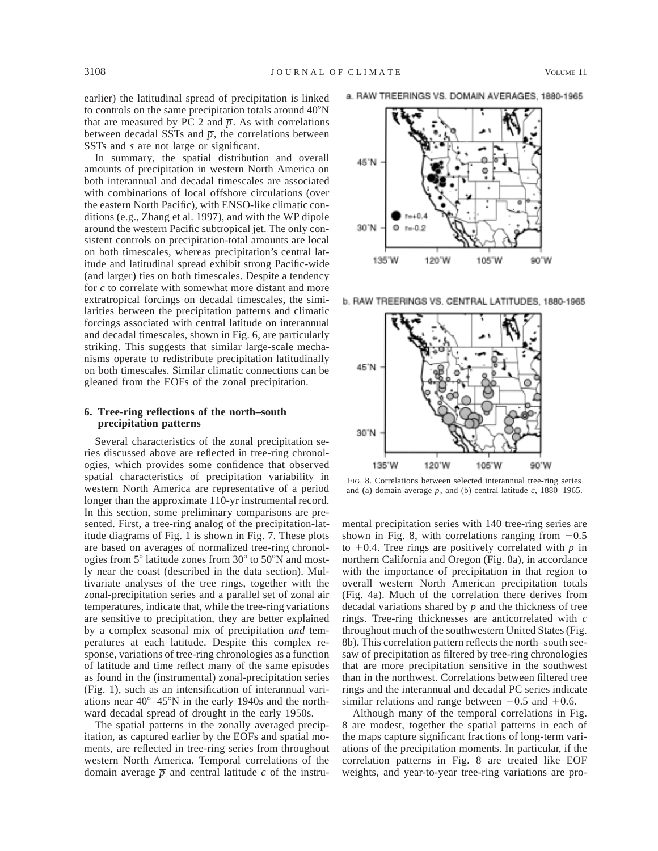earlier) the latitudinal spread of precipitation is linked to controls on the same precipitation totals around  $40^{\circ}$ N that are measured by PC 2 and  $\bar{p}$ . As with correlations between decadal SSTs and  $\bar{p}$ , the correlations between SSTs and *s* are not large or significant.

In summary, the spatial distribution and overall amounts of precipitation in western North America on both interannual and decadal timescales are associated with combinations of local offshore circulations (over the eastern North Pacific), with ENSO-like climatic conditions (e.g., Zhang et al. 1997), and with the WP dipole around the western Pacific subtropical jet. The only consistent controls on precipitation-total amounts are local on both timescales, whereas precipitation's central latitude and latitudinal spread exhibit strong Pacific-wide (and larger) ties on both timescales. Despite a tendency for *c* to correlate with somewhat more distant and more extratropical forcings on decadal timescales, the similarities between the precipitation patterns and climatic forcings associated with central latitude on interannual and decadal timescales, shown in Fig. 6, are particularly striking. This suggests that similar large-scale mechanisms operate to redistribute precipitation latitudinally on both timescales. Similar climatic connections can be gleaned from the EOFs of the zonal precipitation.

## **6. Tree-ring reflections of the north–south precipitation patterns**

Several characteristics of the zonal precipitation series discussed above are reflected in tree-ring chronologies, which provides some confidence that observed spatial characteristics of precipitation variability in western North America are representative of a period longer than the approximate 110-yr instrumental record. In this section, some preliminary comparisons are presented. First, a tree-ring analog of the precipitation-latitude diagrams of Fig. 1 is shown in Fig. 7. These plots are based on averages of normalized tree-ring chronologies from  $5^{\circ}$  latitude zones from  $30^{\circ}$  to  $50^{\circ}$ N and mostly near the coast (described in the data section). Multivariate analyses of the tree rings, together with the zonal-precipitation series and a parallel set of zonal air temperatures, indicate that, while the tree-ring variations are sensitive to precipitation, they are better explained by a complex seasonal mix of precipitation *and* temperatures at each latitude. Despite this complex response, variations of tree-ring chronologies as a function of latitude and time reflect many of the same episodes as found in the (instrumental) zonal-precipitation series (Fig. 1), such as an intensification of interannual variations near  $40^{\circ} - 45^{\circ}$ N in the early 1940s and the northward decadal spread of drought in the early 1950s.

The spatial patterns in the zonally averaged precipitation, as captured earlier by the EOFs and spatial moments, are reflected in tree-ring series from throughout western North America. Temporal correlations of the domain average  $\overline{p}$  and central latitude *c* of the instrua. RAW TREERINGS VS. DOMAIN AVERAGES, 1880-1965



b. RAW TREERINGS VS. CENTRAL LATITUDES, 1880-1965



FIG. 8. Correlations between selected interannual tree-ring series and (a) domain average  $\overline{p}$ , and (b) central latitude *c*, 1880–1965.

mental precipitation series with 140 tree-ring series are shown in Fig. 8, with correlations ranging from  $-0.5$ to  $+0.4$ . Tree rings are positively correlated with  $\bar{p}$  in northern California and Oregon (Fig. 8a), in accordance with the importance of precipitation in that region to overall western North American precipitation totals (Fig. 4a). Much of the correlation there derives from decadal variations shared by  $\overline{p}$  and the thickness of tree rings. Tree-ring thicknesses are anticorrelated with *c* throughout much of the southwestern United States (Fig. 8b). This correlation pattern reflects the north–south seesaw of precipitation as filtered by tree-ring chronologies that are more precipitation sensitive in the southwest than in the northwest. Correlations between filtered tree rings and the interannual and decadal PC series indicate similar relations and range between  $-0.5$  and  $+0.6$ .

Although many of the temporal correlations in Fig. 8 are modest, together the spatial patterns in each of the maps capture significant fractions of long-term variations of the precipitation moments. In particular, if the correlation patterns in Fig. 8 are treated like EOF weights, and year-to-year tree-ring variations are pro-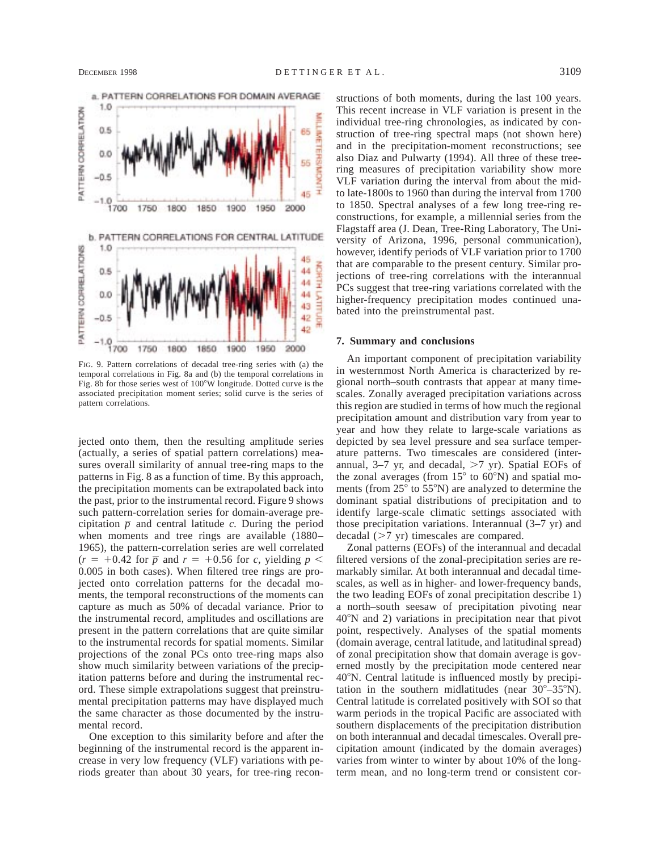

FIG. 9. Pattern correlations of decadal tree-ring series with (a) the temporal correlations in Fig. 8a and (b) the temporal correlations in Fig. 8b for those series west of 100°W longitude. Dotted curve is the associated precipitation moment series; solid curve is the series of pattern correlations.

jected onto them, then the resulting amplitude series (actually, a series of spatial pattern correlations) measures overall similarity of annual tree-ring maps to the patterns in Fig. 8 as a function of time. By this approach, the precipitation moments can be extrapolated back into the past, prior to the instrumental record. Figure 9 shows such pattern-correlation series for domain-average precipitation  $\overline{p}$  and central latitude *c*. During the period when moments and tree rings are available (1880– 1965), the pattern-correlation series are well correlated  $(r = +0.42$  for  $\overline{p}$  and  $r = +0.56$  for *c*, yielding  $p <$ 0.005 in both cases). When filtered tree rings are projected onto correlation patterns for the decadal moments, the temporal reconstructions of the moments can capture as much as 50% of decadal variance. Prior to the instrumental record, amplitudes and oscillations are present in the pattern correlations that are quite similar to the instrumental records for spatial moments. Similar projections of the zonal PCs onto tree-ring maps also show much similarity between variations of the precipitation patterns before and during the instrumental record. These simple extrapolations suggest that preinstrumental precipitation patterns may have displayed much the same character as those documented by the instrumental record.

One exception to this similarity before and after the beginning of the instrumental record is the apparent increase in very low frequency (VLF) variations with periods greater than about 30 years, for tree-ring reconstructions of both moments, during the last 100 years. This recent increase in VLF variation is present in the individual tree-ring chronologies, as indicated by construction of tree-ring spectral maps (not shown here) and in the precipitation-moment reconstructions; see also Diaz and Pulwarty (1994). All three of these treering measures of precipitation variability show more VLF variation during the interval from about the midto late-1800s to 1960 than during the interval from 1700 to 1850. Spectral analyses of a few long tree-ring reconstructions, for example, a millennial series from the Flagstaff area (J. Dean, Tree-Ring Laboratory, The University of Arizona, 1996, personal communication), however, identify periods of VLF variation prior to 1700 that are comparable to the present century. Similar projections of tree-ring correlations with the interannual PCs suggest that tree-ring variations correlated with the higher-frequency precipitation modes continued unabated into the preinstrumental past.

## **7. Summary and conclusions**

An important component of precipitation variability in westernmost North America is characterized by regional north–south contrasts that appear at many timescales. Zonally averaged precipitation variations across this region are studied in terms of how much the regional precipitation amount and distribution vary from year to year and how they relate to large-scale variations as depicted by sea level pressure and sea surface temperature patterns. Two timescales are considered (interannual,  $3-7$  yr, and decadal,  $>7$  yr). Spatial EOFs of the zonal averages (from  $15^{\circ}$  to  $60^{\circ}$ N) and spatial moments (from  $25^{\circ}$  to  $55^{\circ}$ N) are analyzed to determine the dominant spatial distributions of precipitation and to identify large-scale climatic settings associated with those precipitation variations. Interannual (3–7 yr) and decadal  $(>7 \text{ yr})$  timescales are compared.

Zonal patterns (EOFs) of the interannual and decadal filtered versions of the zonal-precipitation series are remarkably similar. At both interannual and decadal timescales, as well as in higher- and lower-frequency bands, the two leading EOFs of zonal precipitation describe 1) a north–south seesaw of precipitation pivoting near 408N and 2) variations in precipitation near that pivot point, respectively. Analyses of the spatial moments (domain average, central latitude, and latitudinal spread) of zonal precipitation show that domain average is governed mostly by the precipitation mode centered near 408N. Central latitude is influenced mostly by precipitation in the southern midlatitudes (near  $30^{\circ} - 35^{\circ}$ N). Central latitude is correlated positively with SOI so that warm periods in the tropical Pacific are associated with southern displacements of the precipitation distribution on both interannual and decadal timescales. Overall precipitation amount (indicated by the domain averages) varies from winter to winter by about 10% of the longterm mean, and no long-term trend or consistent cor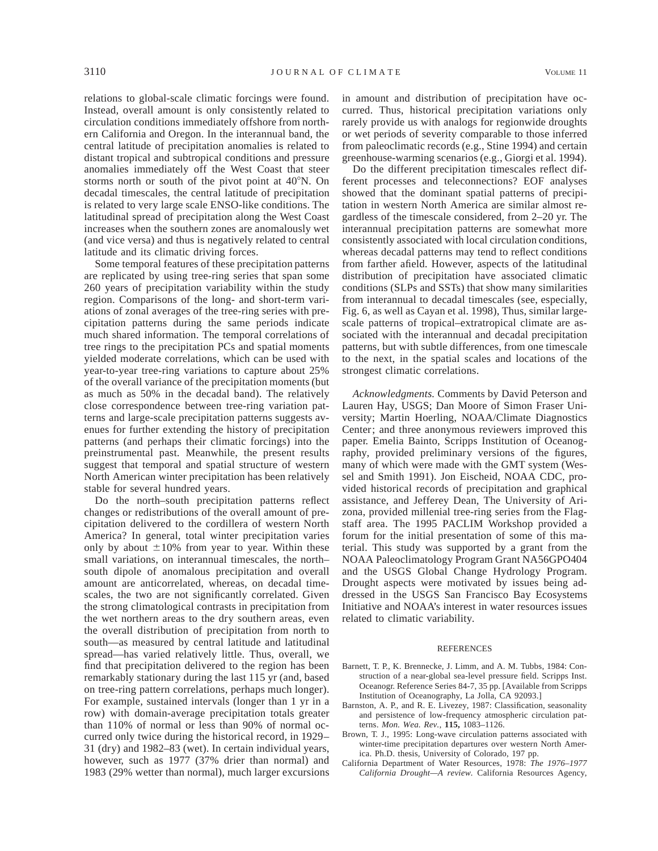relations to global-scale climatic forcings were found. Instead, overall amount is only consistently related to circulation conditions immediately offshore from northern California and Oregon. In the interannual band, the central latitude of precipitation anomalies is related to distant tropical and subtropical conditions and pressure anomalies immediately off the West Coast that steer storms north or south of the pivot point at  $40^{\circ}$ N. On decadal timescales, the central latitude of precipitation is related to very large scale ENSO-like conditions. The latitudinal spread of precipitation along the West Coast increases when the southern zones are anomalously wet (and vice versa) and thus is negatively related to central latitude and its climatic driving forces.

Some temporal features of these precipitation patterns are replicated by using tree-ring series that span some 260 years of precipitation variability within the study region. Comparisons of the long- and short-term variations of zonal averages of the tree-ring series with precipitation patterns during the same periods indicate much shared information. The temporal correlations of tree rings to the precipitation PCs and spatial moments yielded moderate correlations, which can be used with year-to-year tree-ring variations to capture about 25% of the overall variance of the precipitation moments (but as much as 50% in the decadal band). The relatively close correspondence between tree-ring variation patterns and large-scale precipitation patterns suggests avenues for further extending the history of precipitation patterns (and perhaps their climatic forcings) into the preinstrumental past. Meanwhile, the present results suggest that temporal and spatial structure of western North American winter precipitation has been relatively stable for several hundred years.

Do the north–south precipitation patterns reflect changes or redistributions of the overall amount of precipitation delivered to the cordillera of western North America? In general, total winter precipitation varies only by about  $\pm 10\%$  from year to year. Within these small variations, on interannual timescales, the north– south dipole of anomalous precipitation and overall amount are anticorrelated, whereas, on decadal timescales, the two are not significantly correlated. Given the strong climatological contrasts in precipitation from the wet northern areas to the dry southern areas, even the overall distribution of precipitation from north to south—as measured by central latitude and latitudinal spread—has varied relatively little. Thus, overall, we find that precipitation delivered to the region has been remarkably stationary during the last 115 yr (and, based on tree-ring pattern correlations, perhaps much longer). For example, sustained intervals (longer than 1 yr in a row) with domain-average precipitation totals greater than 110% of normal or less than 90% of normal occurred only twice during the historical record, in 1929– 31 (dry) and 1982–83 (wet). In certain individual years, however, such as 1977 (37% drier than normal) and 1983 (29% wetter than normal), much larger excursions

in amount and distribution of precipitation have occurred. Thus, historical precipitation variations only rarely provide us with analogs for regionwide droughts or wet periods of severity comparable to those inferred from paleoclimatic records (e.g., Stine 1994) and certain greenhouse-warming scenarios (e.g., Giorgi et al. 1994).

Do the different precipitation timescales reflect different processes and teleconnections? EOF analyses showed that the dominant spatial patterns of precipitation in western North America are similar almost regardless of the timescale considered, from 2–20 yr. The interannual precipitation patterns are somewhat more consistently associated with local circulation conditions, whereas decadal patterns may tend to reflect conditions from farther afield. However, aspects of the latitudinal distribution of precipitation have associated climatic conditions (SLPs and SSTs) that show many similarities from interannual to decadal timescales (see, especially, Fig. 6, as well as Cayan et al. 1998), Thus, similar largescale patterns of tropical–extratropical climate are associated with the interannual and decadal precipitation patterns, but with subtle differences, from one timescale to the next, in the spatial scales and locations of the strongest climatic correlations.

*Acknowledgments.* Comments by David Peterson and Lauren Hay, USGS; Dan Moore of Simon Fraser University; Martin Hoerling, NOAA/Climate Diagnostics Center; and three anonymous reviewers improved this paper. Emelia Bainto, Scripps Institution of Oceanography, provided preliminary versions of the figures, many of which were made with the GMT system (Wessel and Smith 1991). Jon Eischeid, NOAA CDC, provided historical records of precipitation and graphical assistance, and Jefferey Dean, The University of Arizona, provided millenial tree-ring series from the Flagstaff area. The 1995 PACLIM Workshop provided a forum for the initial presentation of some of this material. This study was supported by a grant from the NOAA Paleoclimatology Program Grant NA56GPO404 and the USGS Global Change Hydrology Program. Drought aspects were motivated by issues being addressed in the USGS San Francisco Bay Ecosystems Initiative and NOAA's interest in water resources issues related to climatic variability.

#### **REFERENCES**

- Barnett, T. P., K. Brennecke, J. Limm, and A. M. Tubbs, 1984: Construction of a near-global sea-level pressure field. Scripps Inst. Oceanogr. Reference Series 84-7, 35 pp. [Available from Scripps Institution of Oceanography, La Jolla, CA 92093.]
- Barnston, A. P., and R. E. Livezey, 1987: Classification, seasonality and persistence of low-frequency atmospheric circulation patterns. *Mon. Wea. Rev.,* **115,** 1083–1126.
- Brown, T. J., 1995: Long-wave circulation patterns associated with winter-time precipitation departures over western North America. Ph.D. thesis, University of Colorado, 197 pp.
- California Department of Water Resources, 1978: *The 1976–1977 California Drought—A review.* California Resources Agency,